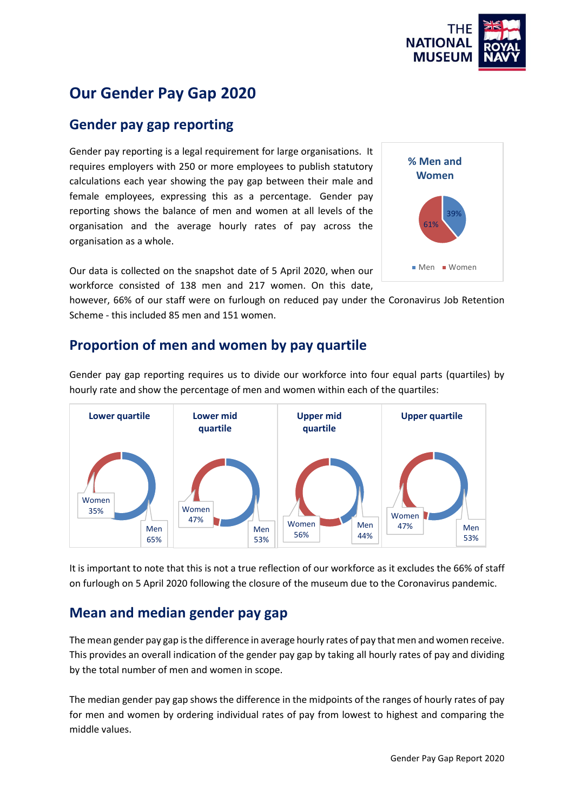

# **Our Gender Pay Gap 2020**

#### **Gender pay gap reporting**

Gender pay reporting is a legal requirement for large organisations. It requires employers with 250 or more employees to publish statutory calculations each year showing the pay gap between their male and female employees, expressing this as a percentage. Gender pay reporting shows the balance of men and women at all levels of the organisation and the average hourly rates of pay across the organisation as a whole.

Our data is collected on the snapshot date of 5 April 2020, when our workforce consisted of 138 men and 217 women. On this date,

however, 66% of our staff were on furlough on reduced pay under the Coronavirus Job Retention Scheme - this included 85 men and 151 women.

#### **Proportion of men and women by pay quartile**

Gender pay gap reporting requires us to divide our workforce into four equal parts (quartiles) by hourly rate and show the percentage of men and women within each of the quartiles:



It is important to note that this is not a true reflection of our workforce as it excludes the 66% of staff on furlough on 5 April 2020 following the closure of the museum due to the Coronavirus pandemic.

#### **Mean and median gender pay gap**

The mean gender pay gap is the difference in average hourly rates of pay that men and women receive. This provides an overall indication of the gender pay gap by taking all hourly rates of pay and dividing by the total number of men and women in scope.

The median gender pay gap shows the difference in the midpoints of the ranges of hourly rates of pay for men and women by ordering individual rates of pay from lowest to highest and comparing the middle values.

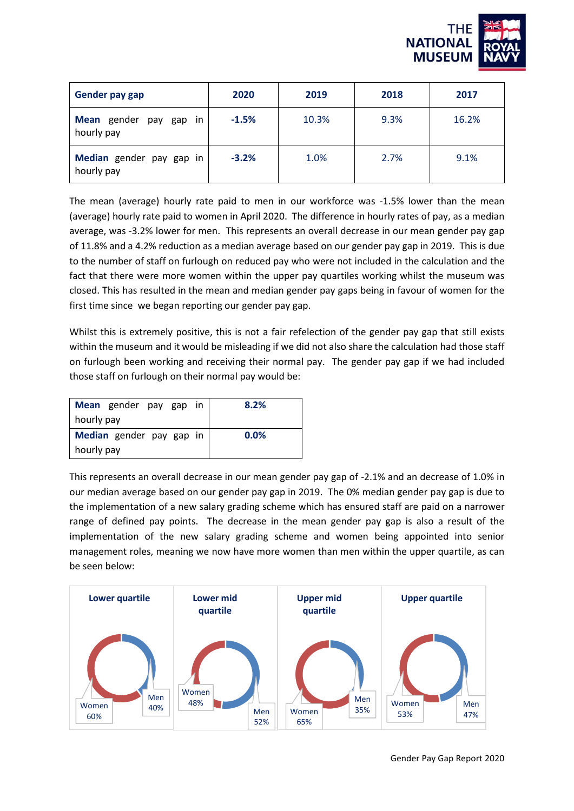

| <b>Gender pay gap</b>                    | 2020    | 2019  | 2018 | 2017  |
|------------------------------------------|---------|-------|------|-------|
| Mean gender pay gap<br>in.<br>hourly pay | $-1.5%$ | 10.3% | 9.3% | 16.2% |
| Median gender pay gap in<br>hourly pay   | $-3.2%$ | 1.0%  | 2.7% | 9.1%  |

The mean (average) hourly rate paid to men in our workforce was -1.5% lower than the mean (average) hourly rate paid to women in April 2020. The difference in hourly rates of pay, as a median average, was -3.2% lower for men. This represents an overall decrease in our mean gender pay gap of 11.8% and a 4.2% reduction as a median average based on our gender pay gap in 2019. This is due to the number of staff on furlough on reduced pay who were not included in the calculation and the fact that there were more women within the upper pay quartiles working whilst the museum was closed. This has resulted in the mean and median gender pay gaps being in favour of women for the first time since we began reporting our gender pay gap.

Whilst this is extremely positive, this is not a fair refelection of the gender pay gap that still exists within the museum and it would be misleading if we did not also share the calculation had those staff on furlough been working and receiving their normal pay. The gender pay gap if we had included those staff on furlough on their normal pay would be:

| Mean gender pay gap in   | 8.2% |
|--------------------------|------|
| hourly pay               |      |
| Median gender pay gap in | 0.0% |
| hourly pay               |      |

This represents an overall decrease in our mean gender pay gap of -2.1% and an decrease of 1.0% in our median average based on our gender pay gap in 2019. The 0% median gender pay gap is due to the implementation of a new salary grading scheme which has ensured staff are paid on a narrower range of defined pay points. The decrease in the mean gender pay gap is also a result of the implementation of the new salary grading scheme and women being appointed into senior management roles, meaning we now have more women than men within the upper quartile, as can be seen below:

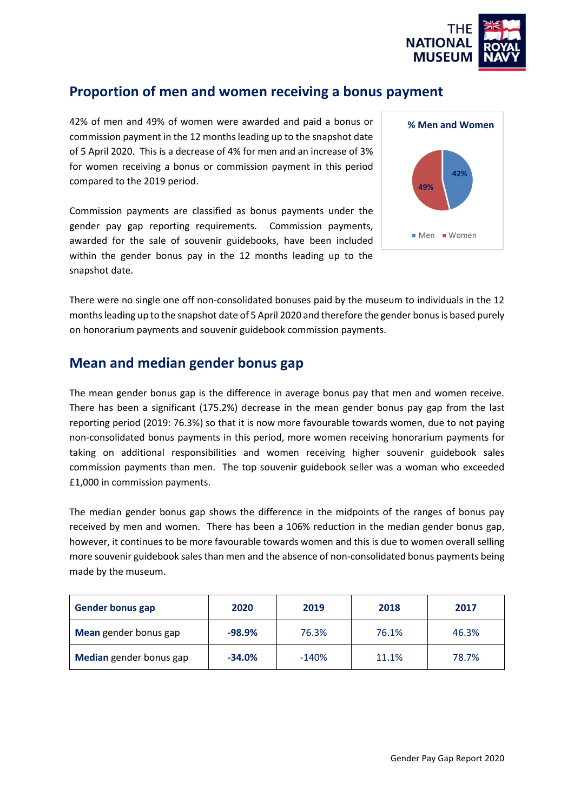

### **Proportion of men and women receiving a bonus payment**

42% of men and 49% of women were awarded and paid a bonus or commission payment in the 12 months leading up to the snapshot date of 5 April 2020. This is a decrease of 4% for men and an increase of 3% for women receiving a bonus or commission payment in this period compared to the 2019 period.

Commission payments are classified as bonus payments under the gender pay gap reporting requirements. Commission payments, awarded for the sale of souvenir guidebooks, have been included within the gender bonus pay in the 12 months leading up to the snapshot date.



There were no single one off non-consolidated bonuses paid by the museum to individuals in the 12 months leading up to the snapshot date of 5 April 2020 and therefore the gender bonus is based purely on honorarium payments and souvenir guidebook commission payments.

#### **Mean and median gender bonus gap**

The mean gender bonus gap is the difference in average bonus pay that men and women receive. There has been a significant (175.2%) decrease in the mean gender bonus pay gap from the last reporting period (2019: 76.3%) so that it is now more favourable towards women, due to not paying non-consolidated bonus payments in this period, more women receiving honorarium payments for taking on additional responsibilities and women receiving higher souvenir guidebook sales commission payments than men. The top souvenir guidebook seller was a woman who exceeded £1,000 in commission payments.

The median gender bonus gap shows the difference in the midpoints of the ranges of bonus pay received by men and women. There has been a 106% reduction in the median gender bonus gap, however, it continues to be more favourable towards women and this is due to women overall selling more souvenir guidebook sales than men and the absence of non-consolidated bonus payments being made by the museum.

| <b>Gender bonus gap</b> | 2020     | 2019    | 2018  | 2017  |
|-------------------------|----------|---------|-------|-------|
| Mean gender bonus gap   | $-98.9%$ | 76.3%   | 76.1% | 46.3% |
| Median gender bonus gap | $-34.0%$ | $-140%$ | 11.1% | 78.7% |